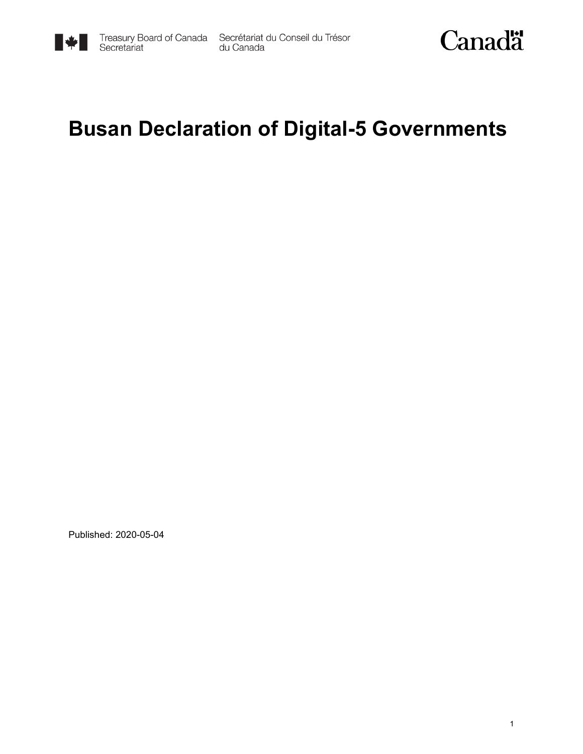

Treasury Board of Canada Secrétariat du Conseil du Trésor<br>Secretariat du Canada



#### **Busan Declaration of Digital-5 Governments**

Published: 2020-05-04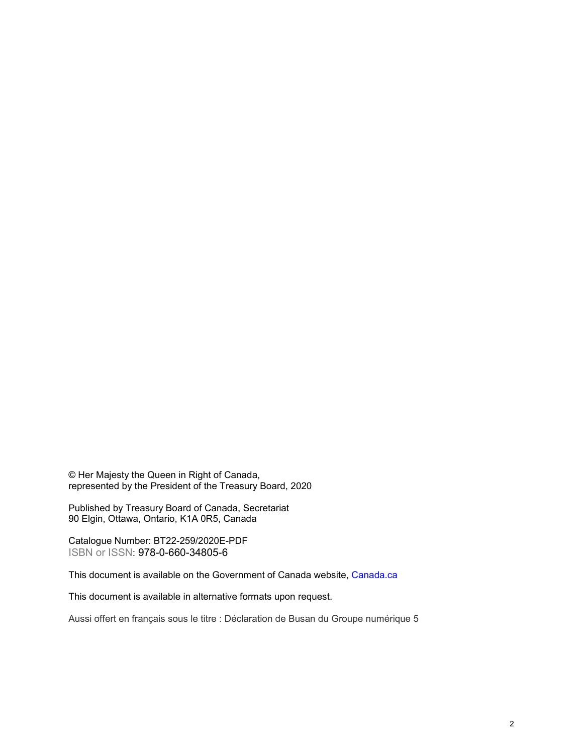© Her Majesty the Queen in Right of Canada, represented by the President of the Treasury Board, 2020

Published by Treasury Board of Canada, Secretariat 90 Elgin, Ottawa, Ontario, K1A 0R5, Canada

Catalogue Number: BT22-259/2020E-PDF ISBN or ISSN: 978-0-660-34805-6

This document is available on the Government of Canada website, [Canada.](https://www.canada.ca/en.html)ca

This document is available in alternative formats upon request.

Aussi offert en français sous le titre : Déclaration de Busan du Groupe numérique 5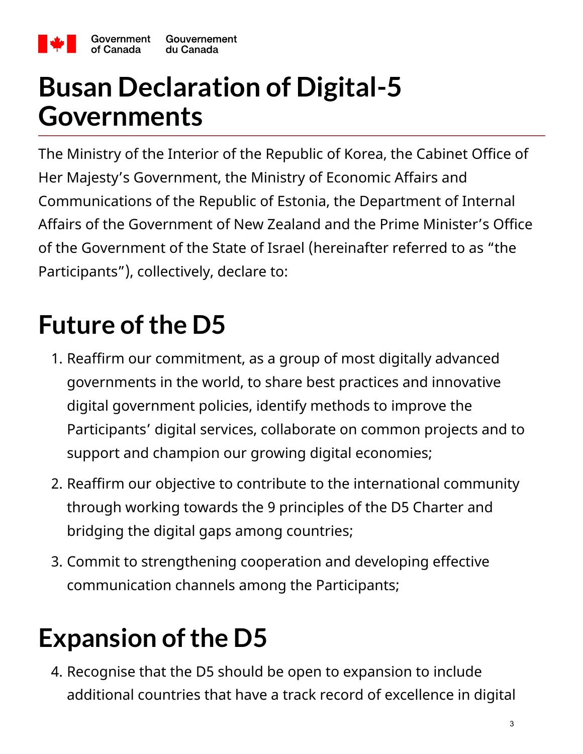

#### **Busan Declaration of Digital-5 Governments**

The Ministry of the Interior of the Republic of Korea, the Cabinet Office of Her Majesty's Government, the Ministry of Economic Affairs and Communications of the Republic of Estonia, the Department of Internal Affairs of the Government of New Zealand and the Prime Minister's Office of the Government of the State of Israel (hereinafter referred to as "the Participants"), collectively, declare to:

## **Future of the D5**

- 1. Reaffirm our commitment, as a group of most digitally advanced governments in the world, to share best practices and innovative digital government policies, identify methods to improve the Participants' digital services, collaborate on common projects and to support and champion our growing digital economies;
- 2. Reaffirm our objective to contribute to the international community through working towards the 9 principles of the D5 Charter and bridging the digital gaps among countries;
- 3. Commit to strengthening cooperation and developing effective communication channels among the Participants;

# **Expansion of the D5**

4. Recognise that the D5 should be open to expansion to include additional countries that have a track record of excellence in digital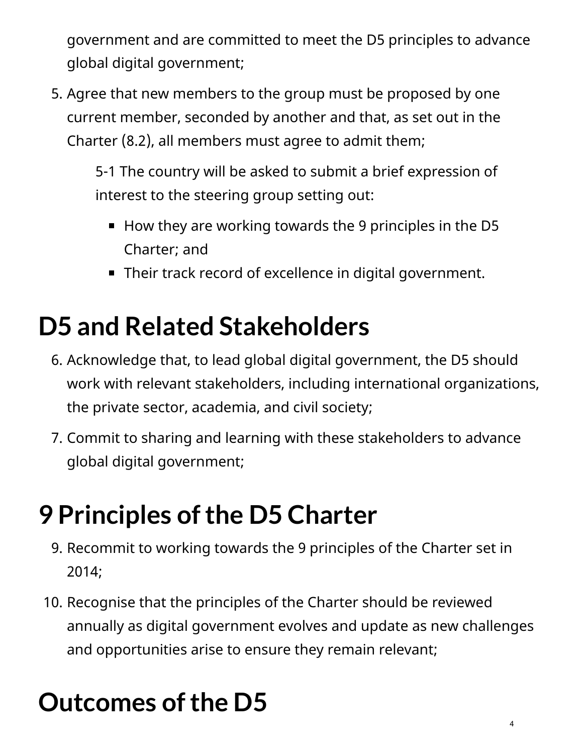government and are committed to meet the D5 principles to advance global digital government;

5. Agree that new members to the group must be proposed by one current member, seconded by another and that, as set out in the Charter (8.2), all members must agree to admit them;

5-1 The country will be asked to submit a brief expression of interest to the steering group setting out:

- How they are working towards the 9 principles in the D5 Charter; and
- Their track record of excellence in digital government.

## **D5 and Related Stakeholders**

- 6. Acknowledge that, to lead global digital government, the D5 should work with relevant stakeholders, including international organizations, the private sector, academia, and civil society;
- 7. Commit to sharing and learning with these stakeholders to advance global digital government;

### **9 Principles of the D5 Charter**

- 9. Recommit to working towards the 9 principles of the Charter set in 2014;
- 10. Recognise that the principles of the Charter should be reviewed annually as digital government evolves and update as new challenges and opportunities arise to ensure they remain relevant;

# **Outcomes of the D5**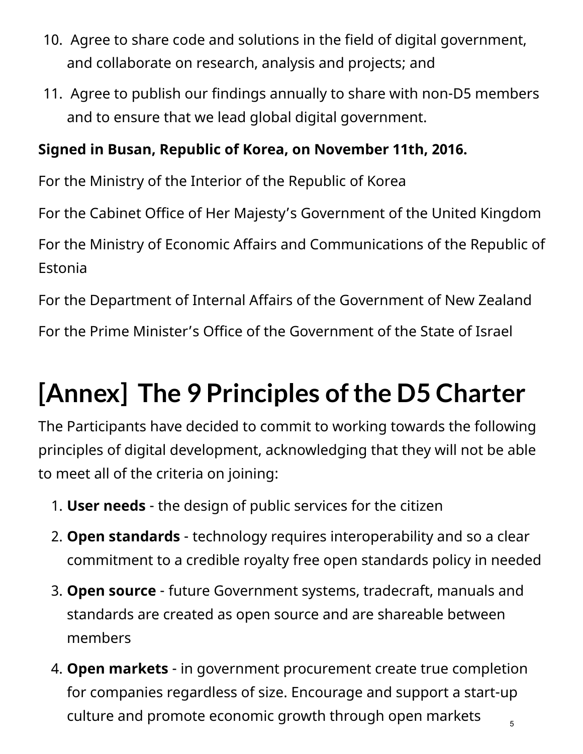- 10. Agree to share code and solutions in the field of digital government, and collaborate on research, analysis and projects; and
- 11. Agree to publish our findings annually to share with non-D5 members and to ensure that we lead global digital government.

#### **Signed in Busan, Republic of Korea, on November 11th, 2016.**

For the Ministry of the Interior of the Republic of Korea

For the Cabinet Office of Her Majesty's Government of the United Kingdom

For the Ministry of Economic Affairs and Communications of the Republic of Estonia

For the Department of Internal Affairs of the Government of New Zealand

For the Prime Minister's Office of the Government of the State of Israel

# **[Annex] The 9 Principles of the D5 Charter**

The Participants have decided to commit to working towards the following principles of digital development, acknowledging that they will not be able to meet all of the criteria on joining:

- 1. **User needs** the design of public services for the citizen
- 2. **Open standards** technology requires interoperability and so a clear commitment to a credible royalty free open standards policy in needed
- 3. **Open source** future Government systems, tradecraft, manuals and standards are created as open source and are shareable between members
- 4. **Open markets** in government procurement create true completion for companies regardless of size. Encourage and support a start-up culture and promote economic growth through open markets 5